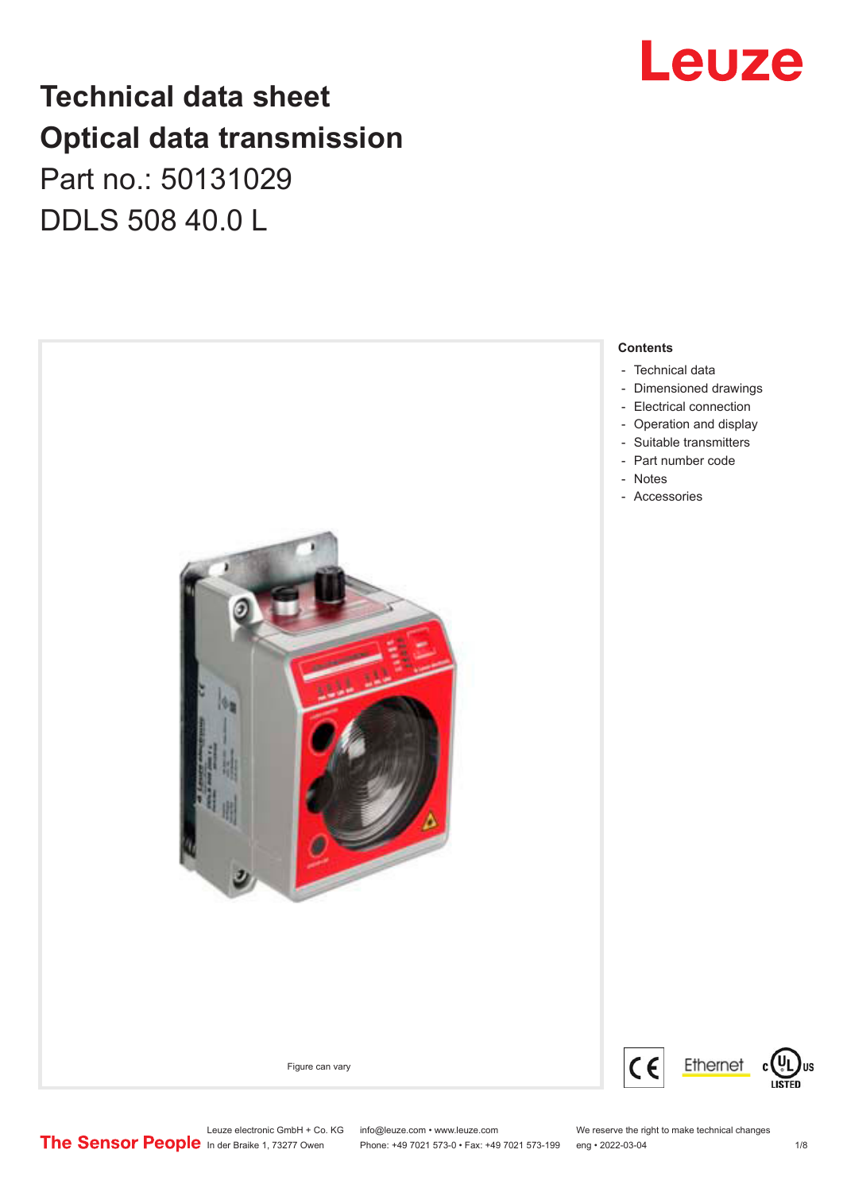## Leuze

## **Technical data sheet Optical data transmission** Part no.: 50131029 DDLS 508 40.0 L



Leuze electronic GmbH + Co. KG info@leuze.com • www.leuze.com We reserve the right to make technical changes<br>
The Sensor People in der Braike 1, 73277 Owen Phone: +49 7021 573-0 • Fax: +49 7021 573-199 eng • 2022-03-04

Phone: +49 7021 573-0 • Fax: +49 7021 573-199 eng • 2022-03-04 1/8

US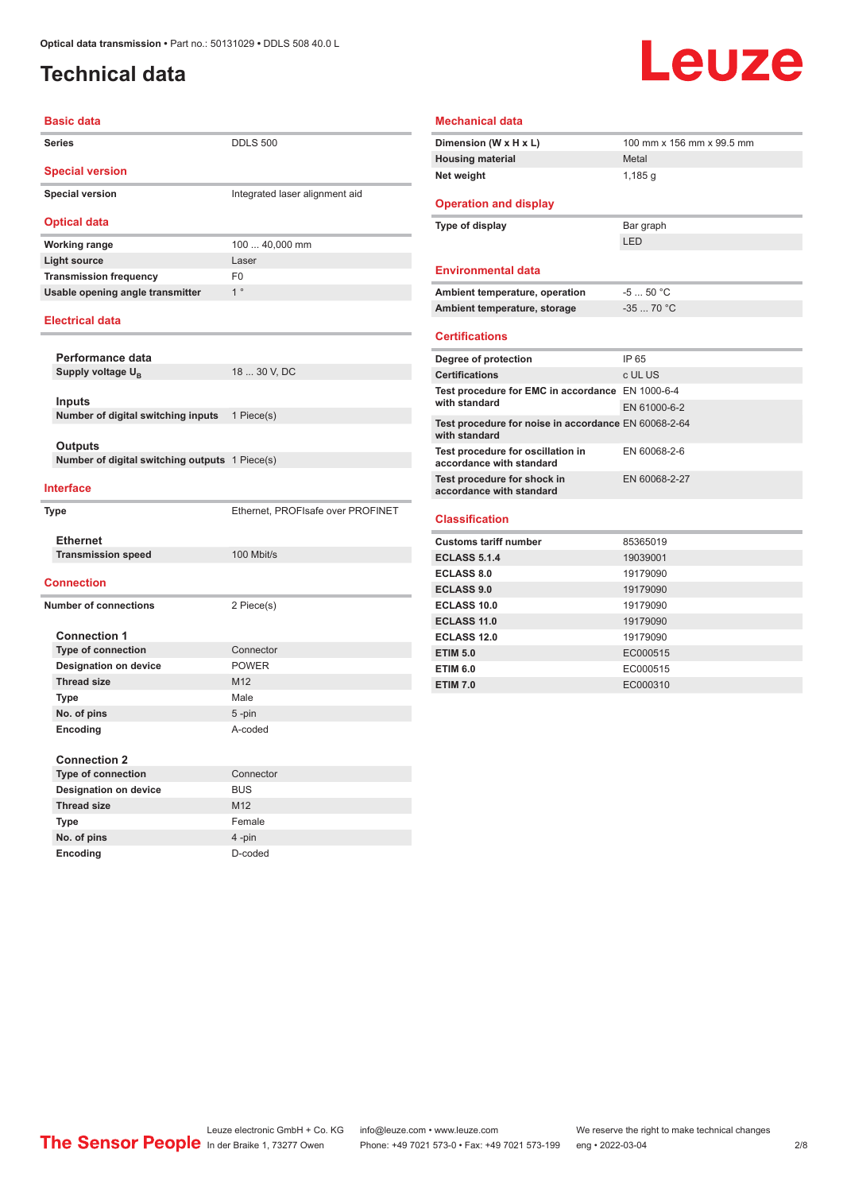### <span id="page-1-0"></span>**Technical data**

# Leuze

| <b>Basic data</b>                |                                |
|----------------------------------|--------------------------------|
| <b>Series</b>                    | <b>DDLS 500</b>                |
| <b>Special version</b>           |                                |
| <b>Special version</b>           | Integrated laser alignment aid |
| <b>Optical data</b>              |                                |
| <b>Working range</b>             | 100  40,000 mm                 |
| <b>Light source</b>              | Laser                          |
| <b>Transmission frequency</b>    | F0                             |
| Usable opening angle transmitter | $1^{\circ}$                    |
| <b>Electrical data</b>           |                                |
| Performance data                 |                                |

Supply voltage U<sub>B</sub> 18 ... 30 V, DC **Inputs Number of digital switching inputs** 1 Piece(s) **Outputs Number of digital switching outputs** 1 Piece(s) **Interface Type** Ethernet, PROFIsafe over PROFINET **Ethernet Transmission speed** 100 Mbit/s **Connection**

#### **Number of connections** 2 Piece(s) **Connection 1 Type of connection** Connector **Designation on device** POWER **Thread size** M12 **Type Male No. of pins** 5 -pin **Encoding** A-coded **Connection 2 Type of connection** Connector **Designation on device** BUS **Thread size** M12 **Type** Female **No. of pins** 4 -pin

**Encoding** D-coded

#### **Mechanical data Dimension (W x H x L)** 100 mm x 156 mm x 99.5 mm **Housing material** Metal **Net weight** 1,185 g **Operation and display Type of display** Bar graph LED **Environmental data** Ambient temperature, operation  $-5...50$  °C **Ambient temperature, storage** -35 ... 70 °C **Certifications Degree of protection IP 65 Certifications** c UL US **Test procedure for EMC in accordance**  EN 1000-6-4 **with standard** EN 61000-6-2 **Test procedure for noise in accordance**  EN 60068-2-64 **with standard Test procedure for oscillation in accordance with standard** EN 60068-2-6 **Test procedure for shock in accordance with standard** EN 60068-2-27 **Classification Customs tariff number** 85365019 **ECLASS 5.1.4** 19039001 **ECLASS 8.0** 19179090 **ECLASS 9.0** 19179090 **ECLASS 10.0** 19179090 **ECLASS 11.0** 19179090 **ECLASS 12.0** 19179090

**ETIM 5.0** EC000515 **ETIM 6.0** EC000515 **ETIM 7.0** EC000310

Leuze electronic GmbH + Co. KG info@leuze.com • www.leuze.com We reserve the right to make technical changes<br>
The Sensor People in der Braike 1, 73277 Owen Phone: +49 7021 573-0 • Fax: +49 7021 573-199 eng • 2022-03-04 Phone: +49 7021 573-0 • Fax: +49 7021 573-199 eng • 2022-03-04 2/8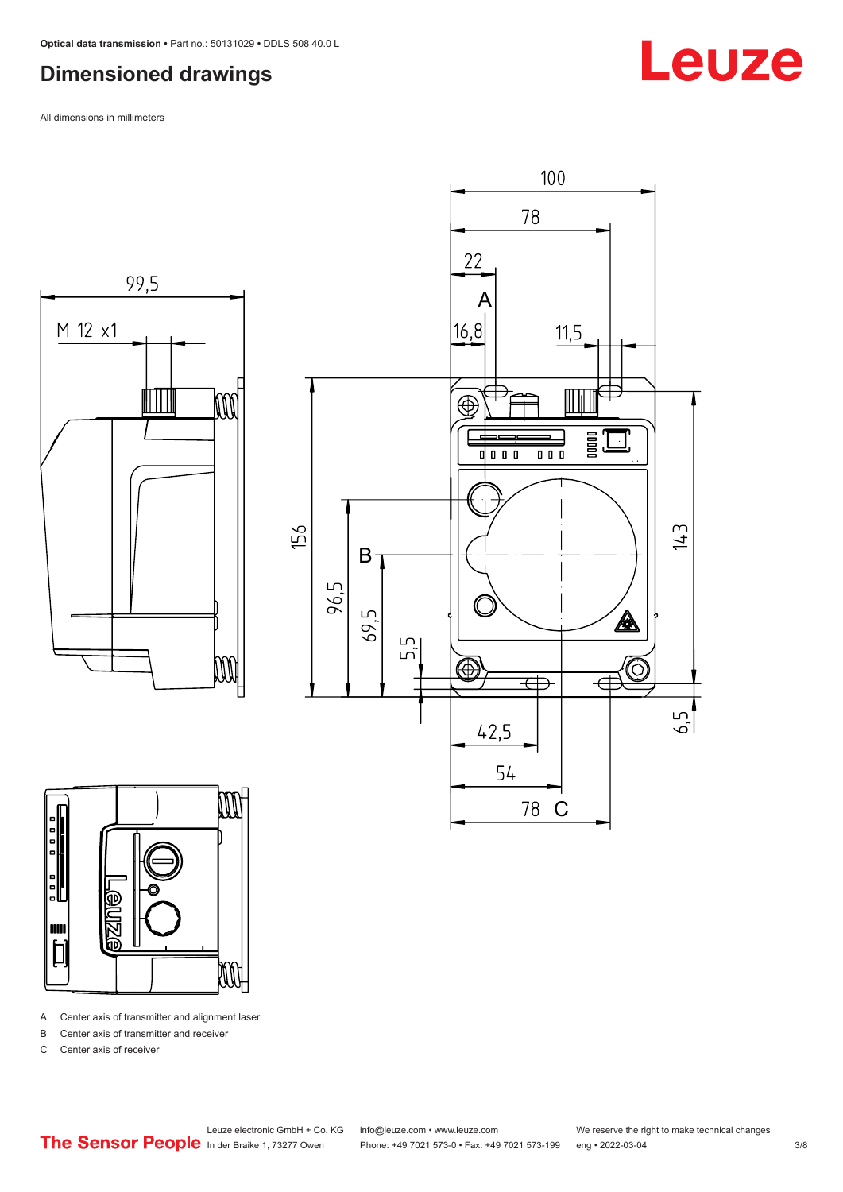#### <span id="page-2-0"></span>**Dimensioned drawings**

All dimensions in millimeters







A Center axis of transmitter and alignment laser

B Center axis of transmitter and receiver

C Center axis of receiver

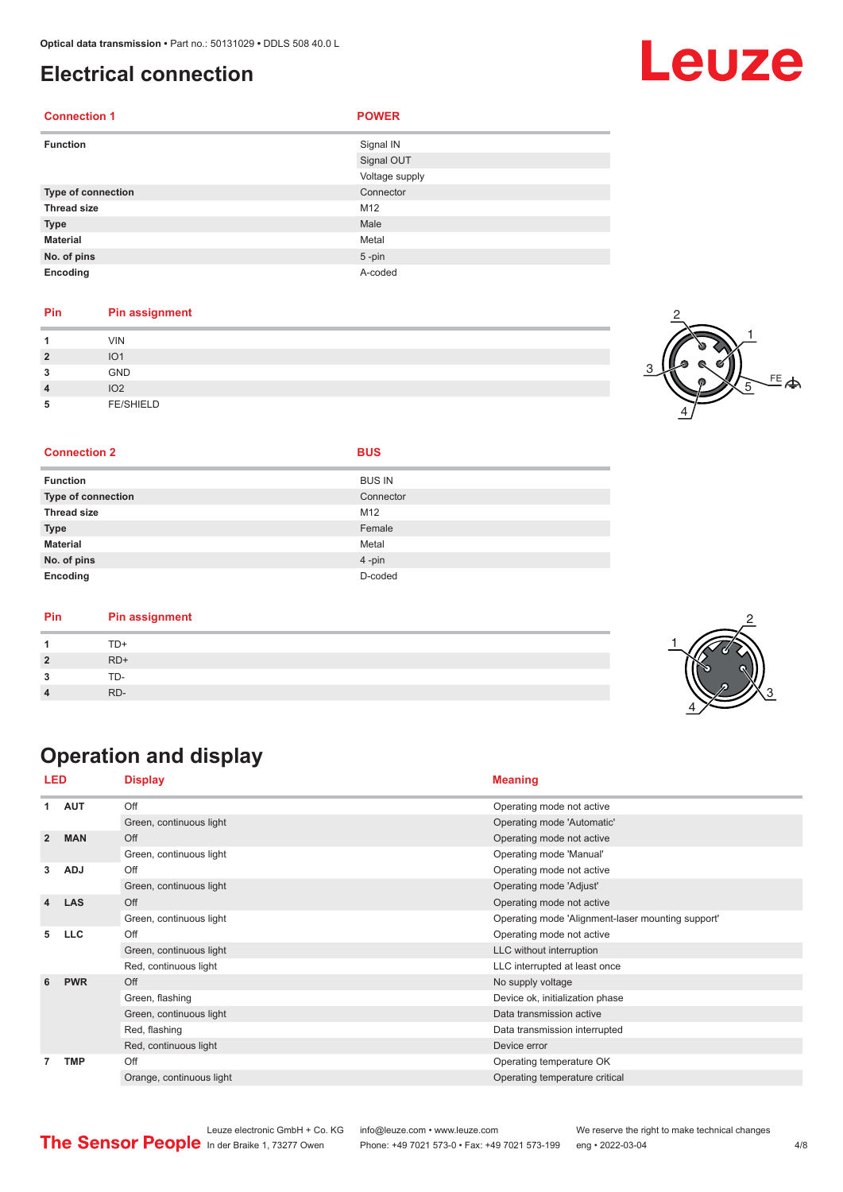#### <span id="page-3-0"></span>**Electrical connection**

| <b>Connection 1</b>       | <b>POWER</b>   |
|---------------------------|----------------|
| <b>Function</b>           | Signal IN      |
|                           | Signal OUT     |
|                           | Voltage supply |
| <b>Type of connection</b> | Connector      |
| <b>Thread size</b>        | M12            |
| <b>Type</b>               | Male           |
| <b>Material</b>           | Metal          |
| No. of pins               | $5 - pin$      |
| Encoding                  | A-coded        |

#### **Pin Pin assignment**

| и              | <b>VIN</b>       |  |
|----------------|------------------|--|
| $\overline{2}$ | IO <sub>1</sub>  |  |
| 3              | GND              |  |
| $\overline{4}$ | IO <sub>2</sub>  |  |
| 5              | <b>FE/SHIELD</b> |  |

#### $FE$  $\Leftrightarrow$ 1 2 4 5

#### **Connection 2 BUS**

**Function** 

| <b>BUS IN</b>   |
|-----------------|
| Connector       |
| AA <sub>0</sub> |

| <b>Type of connection</b> | Connector |
|---------------------------|-----------|
| <b>Thread size</b>        | M12       |
| <b>Type</b>               | Female    |
| <b>Material</b>           | Metal     |
| No. of pins               | $4$ -pin  |
| Encoding                  | D-coded   |
|                           |           |

| <b>Pin assignment</b><br>Pin |  |
|------------------------------|--|
| TD+                          |  |
| $RD+$                        |  |
| TD-                          |  |
| RD-                          |  |

## **Operation and display**

| LED            |            | <b>Display</b>           | <b>Meaning</b>                                    |
|----------------|------------|--------------------------|---------------------------------------------------|
| 1              | <b>AUT</b> | Off                      | Operating mode not active                         |
|                |            | Green, continuous light  | Operating mode 'Automatic'                        |
| $\overline{2}$ | <b>MAN</b> | Off                      | Operating mode not active                         |
|                |            | Green, continuous light  | Operating mode 'Manual'                           |
| 3              | <b>ADJ</b> | Off                      | Operating mode not active                         |
|                |            | Green, continuous light  | Operating mode 'Adjust'                           |
| 4              | <b>LAS</b> | Off                      | Operating mode not active                         |
|                |            | Green, continuous light  | Operating mode 'Alignment-laser mounting support' |
| 5              | <b>LLC</b> | Off                      | Operating mode not active                         |
|                |            | Green, continuous light  | LLC without interruption                          |
|                |            | Red, continuous light    | LLC interrupted at least once                     |
| 6              | <b>PWR</b> | Off                      | No supply voltage                                 |
|                |            | Green, flashing          | Device ok, initialization phase                   |
|                |            | Green, continuous light  | Data transmission active                          |
|                |            | Red, flashing            | Data transmission interrupted                     |
|                |            | Red, continuous light    | Device error                                      |
| 7              | <b>TMP</b> | Off                      | Operating temperature OK                          |
|                |            | Orange, continuous light | Operating temperature critical                    |



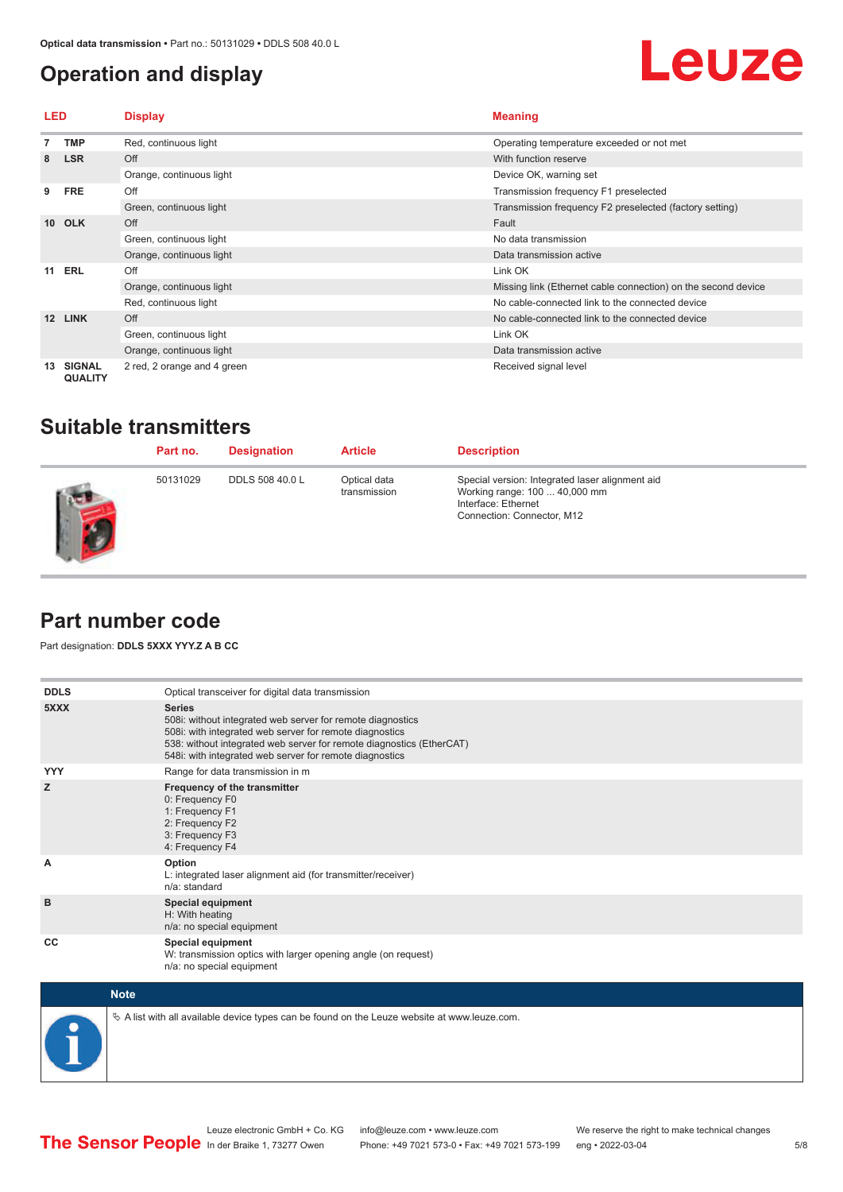### <span id="page-4-0"></span>**Operation and display**



| LED             |                                 | <b>Display</b>              | <b>Meaning</b>                                                |
|-----------------|---------------------------------|-----------------------------|---------------------------------------------------------------|
|                 | <b>TMP</b>                      | Red, continuous light       | Operating temperature exceeded or not met                     |
| 8               | <b>LSR</b>                      | Off                         | With function reserve                                         |
|                 |                                 | Orange, continuous light    | Device OK, warning set                                        |
| 9               | <b>FRE</b>                      | Off                         | Transmission frequency F1 preselected                         |
|                 |                                 | Green, continuous light     | Transmission frequency F2 preselected (factory setting)       |
| 10 <sup>1</sup> | <b>OLK</b>                      | Off                         | Fault                                                         |
|                 |                                 | Green, continuous light     | No data transmission                                          |
|                 |                                 | Orange, continuous light    | Data transmission active                                      |
| 11              | <b>ERL</b>                      | Off                         | Link OK                                                       |
|                 |                                 | Orange, continuous light    | Missing link (Ethernet cable connection) on the second device |
|                 |                                 | Red, continuous light       | No cable-connected link to the connected device               |
| 12 <sup>2</sup> | <b>LINK</b>                     | Off                         | No cable-connected link to the connected device               |
|                 |                                 | Green, continuous light     | Link OK                                                       |
|                 |                                 | Orange, continuous light    | Data transmission active                                      |
| 13              | <b>SIGNAL</b><br><b>QUALITY</b> | 2 red, 2 orange and 4 green | Received signal level                                         |

#### **Suitable transmitters**

| Part no. | <b>Designation</b>     | <b>Article</b>               | <b>Description</b>                                                                                                                    |
|----------|------------------------|------------------------------|---------------------------------------------------------------------------------------------------------------------------------------|
| 50131029 | <b>DDLS 508 40.0 L</b> | Optical data<br>transmission | Special version: Integrated laser alignment aid<br>Working range: 100  40,000 mm<br>Interface: Ethernet<br>Connection: Connector, M12 |

### **Part number code**

Part designation: **DDLS 5XXX YYY.Z A B CC**

| <b>DDLS</b> | Optical transceiver for digital data transmission                                                                                                                                                                                                                         |
|-------------|---------------------------------------------------------------------------------------------------------------------------------------------------------------------------------------------------------------------------------------------------------------------------|
| 5XXX        | <b>Series</b><br>508i: without integrated web server for remote diagnostics<br>508i: with integrated web server for remote diagnostics<br>538: without integrated web server for remote diagnostics (EtherCAT)<br>548i: with integrated web server for remote diagnostics |
| <b>YYY</b>  | Range for data transmission in m                                                                                                                                                                                                                                          |
| z           | Frequency of the transmitter<br>0: Frequency F0<br>1: Frequency F1<br>2: Frequency F2<br>3: Frequency F3<br>4: Frequency F4                                                                                                                                               |
| A           | Option<br>L: integrated laser alignment aid (for transmitter/receiver)<br>$n/a$ : standard                                                                                                                                                                                |
| B           | <b>Special equipment</b><br>H: With heating<br>n/a: no special equipment                                                                                                                                                                                                  |
| CC          | <b>Special equipment</b><br>W: transmission optics with larger opening angle (on request)<br>n/a: no special equipment                                                                                                                                                    |
| <b>Note</b> |                                                                                                                                                                                                                                                                           |



 $\&$  A list with all available device types can be found on the Leuze website at www.leuze.com.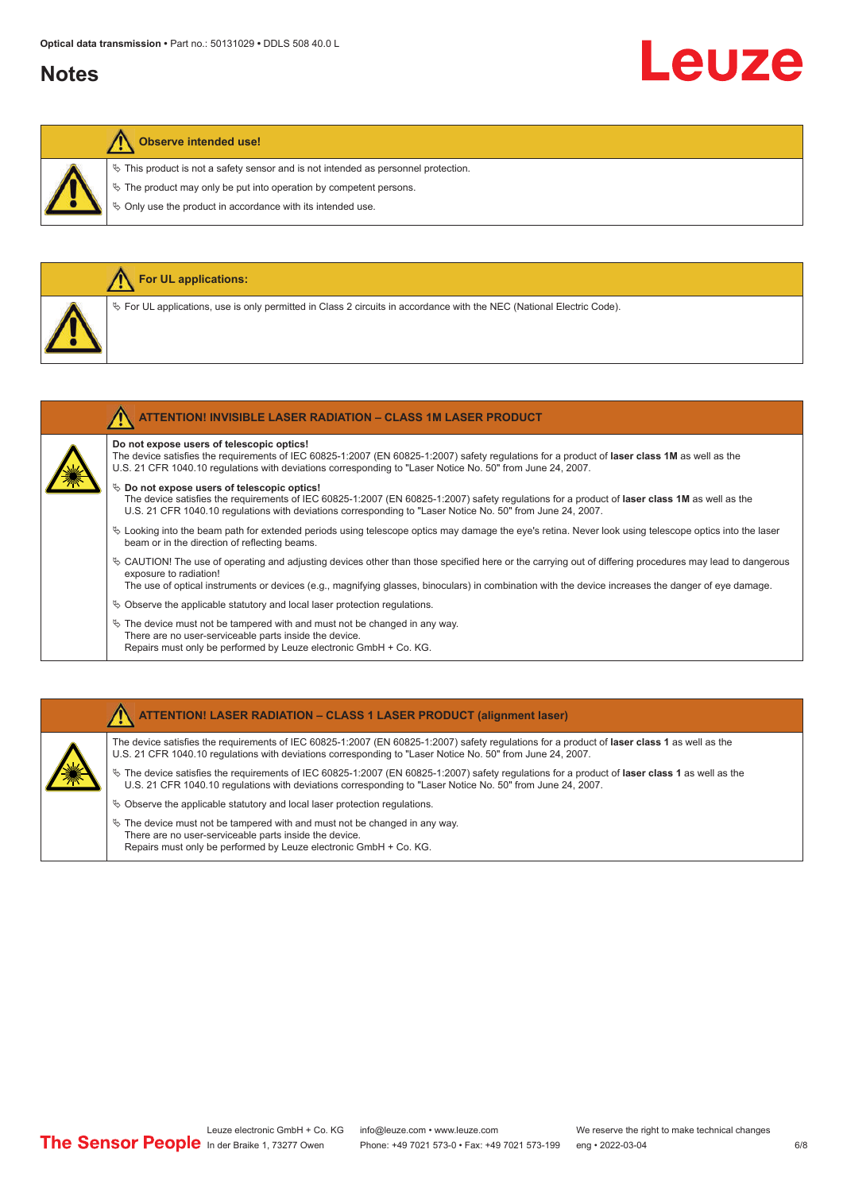#### **Notes**

## Leuze

#### **Observe intended use!**

**For UL applications:**

 $\%$  This product is not a safety sensor and is not intended as personnel protection.

 $\&$  The product may only be put into operation by competent persons.

 $\%$  Only use the product in accordance with its intended use.

| $\%$ For UL applications, use is only permitted in Class 2 circuits in accordance with the NEC (National Electric Code).                                                                                                                                    |
|-------------------------------------------------------------------------------------------------------------------------------------------------------------------------------------------------------------------------------------------------------------|
|                                                                                                                                                                                                                                                             |
|                                                                                                                                                                                                                                                             |
|                                                                                                                                                                                                                                                             |
|                                                                                                                                                                                                                                                             |
|                                                                                                                                                                                                                                                             |
| <b>ATTENTION! INVISIBLE LASER RADIATION - CLASS 1M LASER PRODUCT</b>                                                                                                                                                                                        |
| Do not expose users of telescopic optics!                                                                                                                                                                                                                   |
| The device satisfies the requirements of IEC 60825-1:2007 (EN 60825-1:2007) safety requlations for a product of laser class 1M as well as the<br>U.S. 21 CFR 1040.10 regulations with deviations corresponding to "Laser Notice No. 50" from June 24, 2007. |

#### ª **Do not expose users of telescopic optics!**

The device satisfies the requirements of IEC 60825-1:2007 (EN 60825-1:2007) safety regulations for a product of **laser class 1M** as well as the U.S. 21 CFR 1040.10 regulations with deviations corresponding to "Laser Notice No. 50" from June 24, 2007.

- $\%$  Looking into the beam path for extended periods using telescope optics may damage the eye's retina. Never look using telescope optics into the laser beam or in the direction of reflecting beams.
- ª CAUTION! The use of operating and adjusting devices other than those specified here or the carrying out of differing procedures may lead to dangerous exposure to radiation!

The use of optical instruments or devices (e.g., magnifying glasses, binoculars) in combination with the device increases the danger of eye damage.

- $\&$  Observe the applicable statutory and local laser protection regulations.
- $\%$  The device must not be tampered with and must not be changed in any way. There are no user-serviceable parts inside the device. Repairs must only be performed by Leuze electronic GmbH + Co. KG.

#### **ATTENTION! LASER RADIATION – CLASS 1 LASER PRODUCT (alignment laser)**

The device satisfies the requirements of IEC 60825-1:2007 (EN 60825-1:2007) safety regulations for a product of **laser class 1** as well as the U.S. 21 CFR 1040.10 regulations with deviations corresponding to "Laser Notice No. 50" from June 24, 2007.

- ª The device satisfies the requirements of IEC 60825-1:2007 (EN 60825-1:2007) safety regulations for a product of **laser class 1** as well as the U.S. 21 CFR 1040.10 regulations with deviations corresponding to "Laser Notice No. 50" from June 24, 2007.
- $\%$  Observe the applicable statutory and local laser protection regulations.
- $\ddot{\phi}$  The device must not be tampered with and must not be changed in any way. There are no user-serviceable parts inside the device. Repairs must only be performed by Leuze electronic GmbH + Co. KG.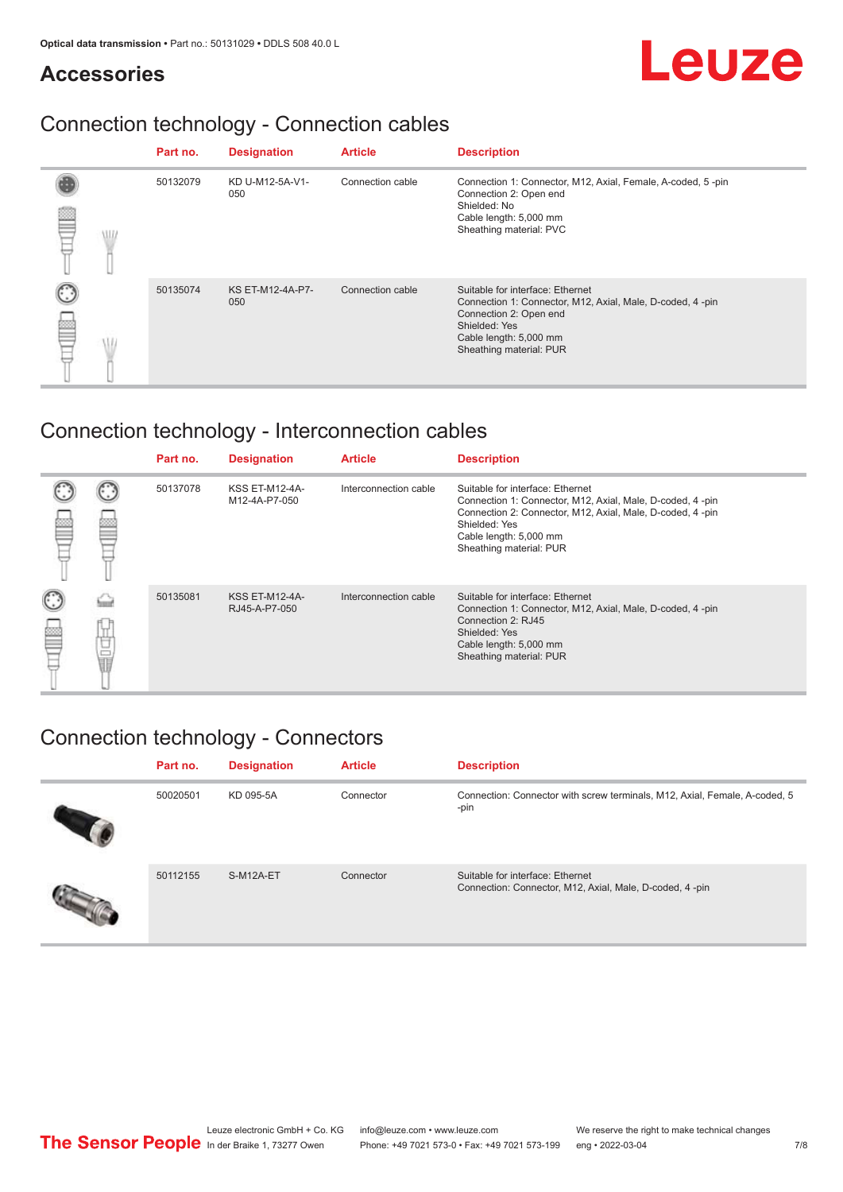#### **Accessories**

## Leuze

## Connection technology - Connection cables

|            | Part no. | <b>Designation</b>             | <b>Article</b>   | <b>Description</b>                                                                                                                                                                            |
|------------|----------|--------------------------------|------------------|-----------------------------------------------------------------------------------------------------------------------------------------------------------------------------------------------|
| <b>MIL</b> | 50132079 | KD U-M12-5A-V1-<br>050         | Connection cable | Connection 1: Connector, M12, Axial, Female, A-coded, 5-pin<br>Connection 2: Open end<br>Shielded: No<br>Cable length: 5,000 mm<br>Sheathing material: PVC                                    |
|            | 50135074 | <b>KS ET-M12-4A-P7-</b><br>050 | Connection cable | Suitable for interface: Ethernet<br>Connection 1: Connector, M12, Axial, Male, D-coded, 4-pin<br>Connection 2: Open end<br>Shielded: Yes<br>Cable length: 5,000 mm<br>Sheathing material: PUR |

## Connection technology - Interconnection cables

|             |   | Part no. | <b>Designation</b>                     | <b>Article</b>        | <b>Description</b>                                                                                                                                                                                                               |
|-------------|---|----------|----------------------------------------|-----------------------|----------------------------------------------------------------------------------------------------------------------------------------------------------------------------------------------------------------------------------|
|             |   | 50137078 | <b>KSS ET-M12-4A-</b><br>M12-4A-P7-050 | Interconnection cable | Suitable for interface: Ethernet<br>Connection 1: Connector, M12, Axial, Male, D-coded, 4-pin<br>Connection 2: Connector, M12, Axial, Male, D-coded, 4-pin<br>Shielded: Yes<br>Cable length: 5,000 mm<br>Sheathing material: PUR |
| C<br>œ<br>⋿ | Ö | 50135081 | <b>KSS ET-M12-4A-</b><br>RJ45-A-P7-050 | Interconnection cable | Suitable for interface: Ethernet<br>Connection 1: Connector, M12, Axial, Male, D-coded, 4-pin<br>Connection 2: RJ45<br>Shielded: Yes<br>Cable length: 5,000 mm<br>Sheathing material: PUR                                        |

### Connection technology - Connectors

| Part no. | <b>Designation</b> | <b>Article</b> | <b>Description</b>                                                                          |
|----------|--------------------|----------------|---------------------------------------------------------------------------------------------|
| 50020501 | KD 095-5A          | Connector      | Connection: Connector with screw terminals, M12, Axial, Female, A-coded, 5<br>-pin          |
| 50112155 | S-M12A-ET          | Connector      | Suitable for interface: Ethernet<br>Connection: Connector, M12, Axial, Male, D-coded, 4-pin |